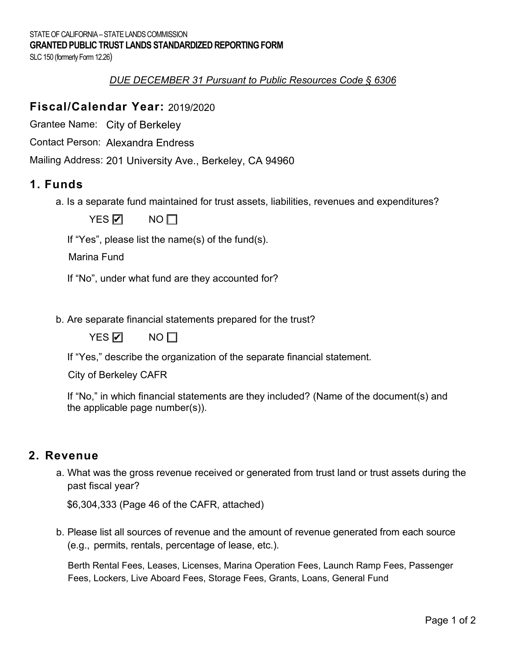SLC 150 (formerly Form 12.26)

#### *DUE DECEMBER 31 Pursuant to Public Resources Code § 6306*

#### **Fiscal/Calendar Year:**  2019/2020

Grantee Name: City of Berkeley

Alexandra Endress

Contact Person: Alexandra Endress<br>Mailing Address: 201 University Ave., Berkeley, CA 94960

### **1. Funds**

a. Is a separate fund maintained for trust assets, liabilities, revenues and expenditures?

YES **☑** NO

If "Yes", please list the name(s) of the fund(s).

Marina Fund

If "No", under what fund are they accounted for?

b. Are separate financial statements prepared for the trust?



If "Yes," describe the organization of the separate financial statement.

City of Berkeley CAFR

 If "No," in which financial statements are they included? (Name of the document(s) and the applicable page number(s)).

#### **2. Revenue**

 a. What was the gross revenue received or generated from trust land or trust assets during the past fiscal year?

\$6,304,333 (Page 46 of the CAFR, attached)

 b. Please list all sources of revenue and the amount of revenue generated from each source (e.g., permits, rentals, percentage of lease, etc.).

Berth Rental Fees, Leases, Licenses, Marina Operation Fees, Launch Ramp Fees, Passenger Fees, Lockers, Live Aboard Fees, Storage Fees, Grants, Loans, General Fund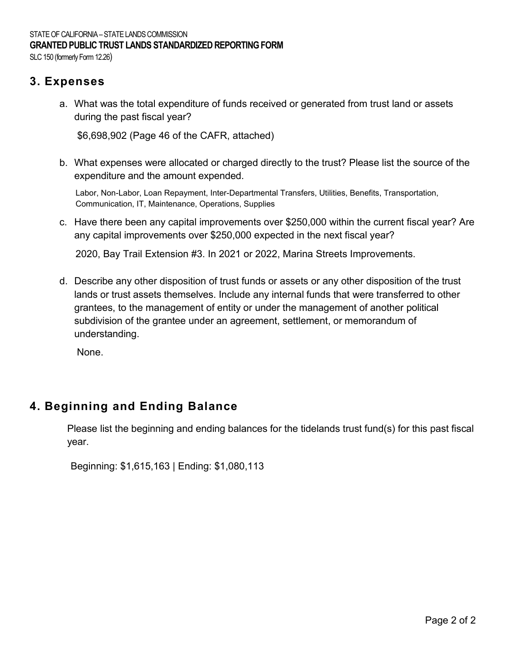### STATE OF CALIFORNIA – STATE LANDS COMMISSION **GRANTED PUBLIC TRUST LANDS STANDARDIZED REPORTING FORM**

SLC 150 (formerly Form 12.26)

## **3. Expenses**

 a. What was the total expenditure of funds received or generated from trust land or assets during the past fiscal year?

\$6,698,902 (Page 46 of the CAFR, attached)

 b. What expenses were allocated or charged directly to the trust? Please list the source of the expenditure and the amount expended.

Labor, Non-Labor, Loan Repayment, Inter-Departmental Transfers, Utilities, Benefits, Transportation, Communication, IT, Maintenance, Operations, Supplies

 c. Have there been any capital improvements over \$250,000 within the current fiscal year? Are any capital improvements over \$250,000 expected in the next fiscal year?

 d. Describe any other disposition of trust funds or assets or any other disposition of the trust lands or trust assets themselves. Include any internal funds that were transferred to other grantees, to the management of entity or under the management of another political subdivision of the grantee under an agreement, settlement, or memorandum of understanding. 2020, Bay Trail Extension #3. In 2021 or 2022, Marina Streets Improvements.<br>Describe any other disposition of trust funds or assets or any other disposition c<br>lands or trust assets themselves. Include any internal funds th

# **4. Beginning and Ending Balance**

 Please list the beginning and ending balances for the tidelands trust fund(s) for this past fiscal year.

Beginning: \$1,615,163 | Ending: \$1,080,113